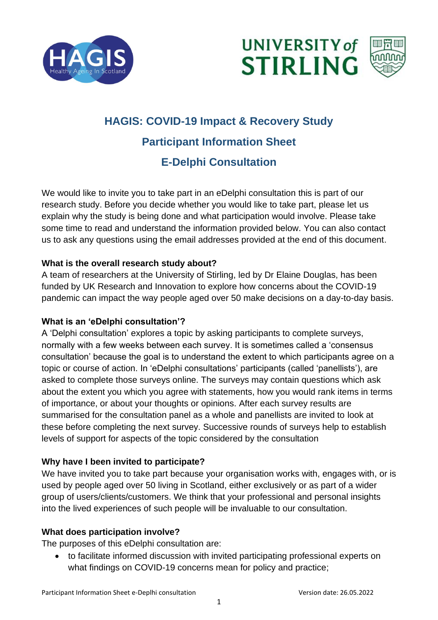





# **HAGIS: COVID-19 Impact & Recovery Study Participant Information Sheet E-Delphi Consultation**

We would like to invite you to take part in an eDelphi consultation this is part of our research study. Before you decide whether you would like to take part, please let us explain why the study is being done and what participation would involve. Please take some time to read and understand the information provided below. You can also contact us to ask any questions using the email addresses provided at the end of this document.

### **What is the overall research study about?**

A team of researchers at the University of Stirling, led by Dr Elaine Douglas, has been funded by UK Research and Innovation to explore how concerns about the COVID-19 pandemic can impact the way people aged over 50 make decisions on a day-to-day basis.

#### **What is an 'eDelphi consultation'?**

A 'Delphi consultation' explores a topic by asking participants to complete surveys, normally with a few weeks between each survey. It is sometimes called a 'consensus consultation' because the goal is to understand the extent to which participants agree on a topic or course of action. In 'eDelphi consultations' participants (called 'panellists'), are asked to complete those surveys online. The surveys may contain questions which ask about the extent you which you agree with statements, how you would rank items in terms of importance, or about your thoughts or opinions. After each survey results are summarised for the consultation panel as a whole and panellists are invited to look at these before completing the next survey. Successive rounds of surveys help to establish levels of support for aspects of the topic considered by the consultation

## **Why have I been invited to participate?**

We have invited you to take part because your organisation works with, engages with, or is used by people aged over 50 living in Scotland, either exclusively or as part of a wider group of users/clients/customers. We think that your professional and personal insights into the lived experiences of such people will be invaluable to our consultation.

#### **What does participation involve?**

The purposes of this eDelphi consultation are:

• to facilitate informed discussion with invited participating professional experts on what findings on COVID-19 concerns mean for policy and practice;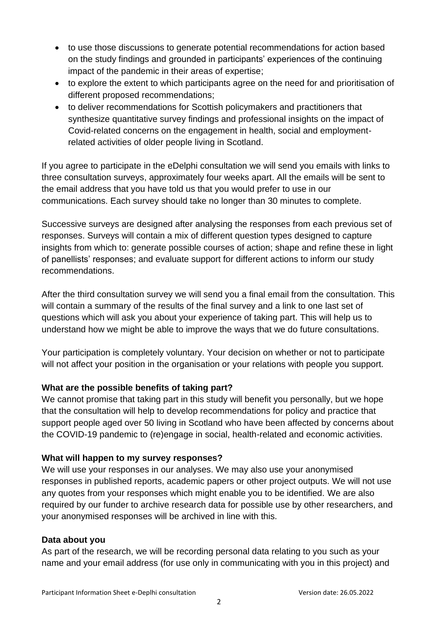- to use those discussions to generate potential recommendations for action based on the study findings and grounded in participants' experiences of the continuing impact of the pandemic in their areas of expertise;
- to explore the extent to which participants agree on the need for and prioritisation of different proposed recommendations;
- to deliver recommendations for Scottish policymakers and practitioners that synthesize quantitative survey findings and professional insights on the impact of Covid-related concerns on the engagement in health, social and employmentrelated activities of older people living in Scotland.

If you agree to participate in the eDelphi consultation we will send you emails with links to three consultation surveys, approximately four weeks apart. All the emails will be sent to the email address that you have told us that you would prefer to use in our communications. Each survey should take no longer than 30 minutes to complete.

Successive surveys are designed after analysing the responses from each previous set of responses. Surveys will contain a mix of different question types designed to capture insights from which to: generate possible courses of action; shape and refine these in light of panellists' responses; and evaluate support for different actions to inform our study recommendations.

After the third consultation survey we will send you a final email from the consultation. This will contain a summary of the results of the final survey and a link to one last set of questions which will ask you about your experience of taking part. This will help us to understand how we might be able to improve the ways that we do future consultations.

Your participation is completely voluntary. Your decision on whether or not to participate will not affect your position in the organisation or your relations with people you support.

#### **What are the possible benefits of taking part?**

We cannot promise that taking part in this study will benefit you personally, but we hope that the consultation will help to develop recommendations for policy and practice that support people aged over 50 living in Scotland who have been affected by concerns about the COVID-19 pandemic to (re)engage in social, health-related and economic activities.

#### **What will happen to my survey responses?**

We will use your responses in our analyses. We may also use your anonymised responses in published reports, academic papers or other project outputs. We will not use any quotes from your responses which might enable you to be identified. We are also required by our funder to archive research data for possible use by other researchers, and your anonymised responses will be archived in line with this.

#### **Data about you**

As part of the research, we will be recording personal data relating to you such as your name and your email address (for use only in communicating with you in this project) and